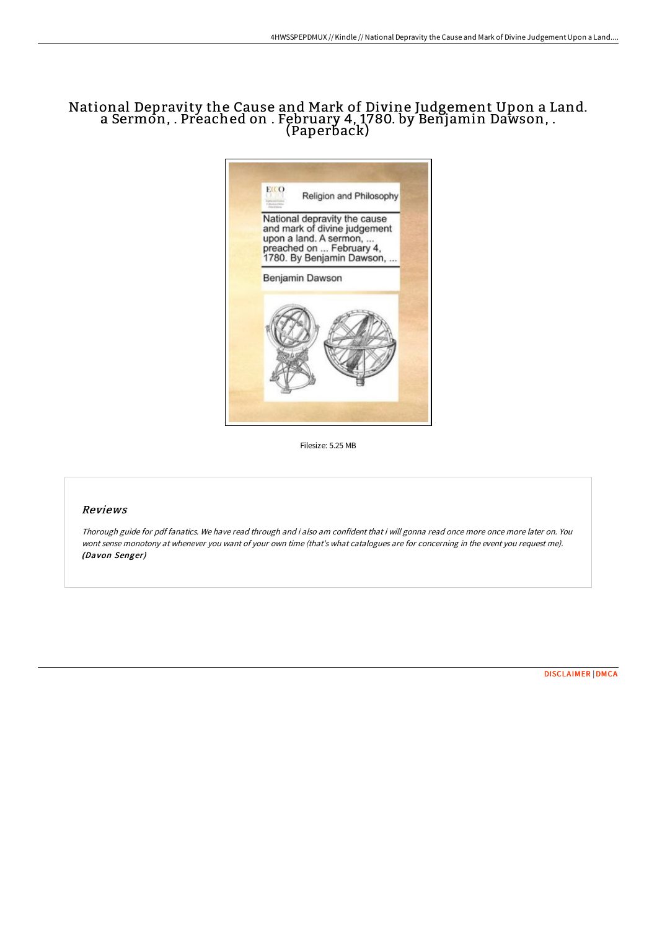## National Depravity the Cause and Mark of Divine Judgement Upon a Land. a Sermon, . Preached on . February 4, 1780. by Benjamin Dawson, . (Paperback)



Filesize: 5.25 MB

## Reviews

Thorough guide for pdf fanatics. We have read through and i also am confident that i will gonna read once more once more later on. You wont sense monotony at whenever you want of your own time (that's what catalogues are for concerning in the event you request me). (Davon Senger)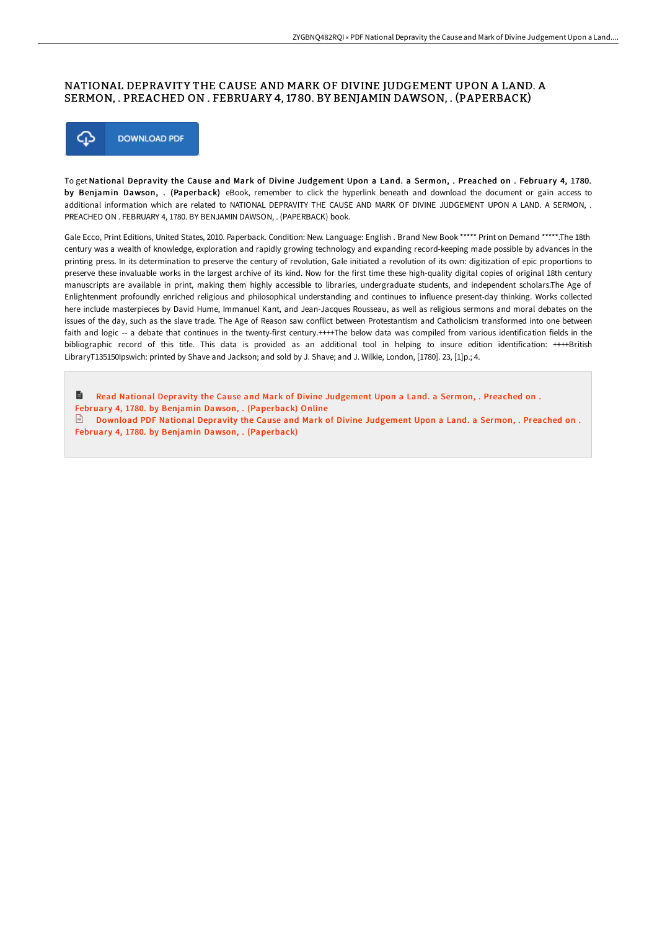## NATIONAL DEPRAVITY THE CAUSE AND MARK OF DIVINE JUDGEMENT UPON A LAND. A SERMON, . PREACHED ON . FEBRUARY 4, 1780. BY BENJAMIN DAWSON, . (PAPERBACK)



To get National Depravity the Cause and Mark of Divine Judgement Upon a Land. a Sermon, . Preached on . February 4, 1780. by Benjamin Dawson, . (Paperback) eBook, remember to click the hyperlink beneath and download the document or gain access to additional information which are related to NATIONAL DEPRAVITY THE CAUSE AND MARK OF DIVINE JUDGEMENT UPON A LAND. A SERMON, . PREACHED ON . FEBRUARY 4, 1780. BY BENJAMIN DAWSON, . (PAPERBACK) book.

Gale Ecco, Print Editions, United States, 2010. Paperback. Condition: New. Language: English . Brand New Book \*\*\*\*\* Print on Demand \*\*\*\*\*.The 18th century was a wealth of knowledge, exploration and rapidly growing technology and expanding record-keeping made possible by advances in the printing press. In its determination to preserve the century of revolution, Gale initiated a revolution of its own: digitization of epic proportions to preserve these invaluable works in the largest archive of its kind. Now for the first time these high-quality digital copies of original 18th century manuscripts are available in print, making them highly accessible to libraries, undergraduate students, and independent scholars.The Age of Enlightenment profoundly enriched religious and philosophical understanding and continues to influence present-day thinking. Works collected here include masterpieces by David Hume, Immanuel Kant, and Jean-Jacques Rousseau, as well as religious sermons and moral debates on the issues of the day, such as the slave trade. The Age of Reason saw conflict between Protestantism and Catholicism transformed into one between faith and logic -- a debate that continues in the twenty-first century.++++The below data was compiled from various identification fields in the bibliographic record of this title. This data is provided as an additional tool in helping to insure edition identification: ++++British LibraryT135150Ipswich: printed by Shave and Jackson; and sold by J. Shave; and J. Wilkie, London, [1780]. 23, [1]p.; 4.

B Read National Depravity the Cause and Mark of Divine Judgement Upon a Land. a Sermon, . Preached on . February 4, 1780. by Benjamin Dawson, . [\(Paperback\)](http://digilib.live/national-depravity-the-cause-and-mark-of-divine-.html) Online Download PDF National Depravity the Cause and Mark of Divine Judgement Upon a Land. a Sermon, . Preached on . February 4, 1780. by Benjamin Dawson, . [\(Paperback\)](http://digilib.live/national-depravity-the-cause-and-mark-of-divine-.html)